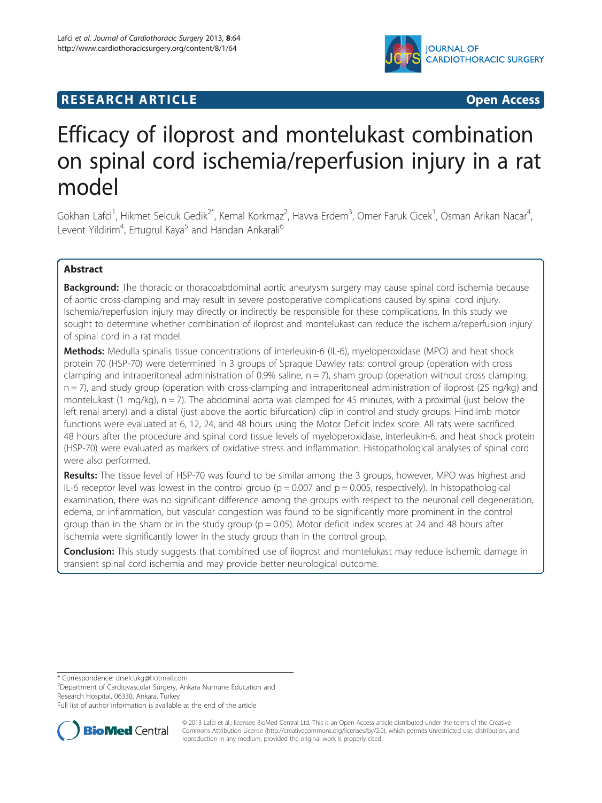

# **RESEARCH ARTICLE Example 2014 CONSUMING A RESEARCH ARTICLE**

# Efficacy of iloprost and montelukast combination on spinal cord ischemia/reperfusion injury in a rat model

Gokhan Lafci<sup>1</sup>, Hikmet Selcuk Gedik<sup>2\*</sup>, Kemal Korkmaz<sup>2</sup>, Havva Erdem<sup>3</sup>, Omer Faruk Cicek<sup>1</sup>, Osman Arikan Nacar<sup>4</sup> , Levent Yildirim<sup>4</sup>, Ertugrul Kaya<sup>5</sup> and Handan Ankarali<sup>6</sup>

# Abstract

Background: The thoracic or thoracoabdominal aortic aneurysm surgery may cause spinal cord ischemia because of aortic cross-clamping and may result in severe postoperative complications caused by spinal cord injury. Ischemia/reperfusion injury may directly or indirectly be responsible for these complications. In this study we sought to determine whether combination of iloprost and montelukast can reduce the ischemia/reperfusion injury of spinal cord in a rat model.

Methods: Medulla spinalis tissue concentrations of interleukin-6 (IL-6), myeloperoxidase (MPO) and heat shock protein 70 (HSP-70) were determined in 3 groups of Spraque Dawley rats: control group (operation with cross clamping and intraperitoneal administration of 0.9% saline,  $n = 7$ ), sham group (operation without cross clamping, n = 7), and study group (operation with cross-clamping and intraperitoneal administration of iloprost (25 ng/kg) and montelukast (1 mg/kg),  $n = 7$ ). The abdominal aorta was clamped for 45 minutes, with a proximal (just below the left renal artery) and a distal (just above the aortic bifurcation) clip in control and study groups. Hindlimb motor functions were evaluated at 6, 12, 24, and 48 hours using the Motor Deficit Index score. All rats were sacrificed 48 hours after the procedure and spinal cord tissue levels of myeloperoxidase, interleukin-6, and heat shock protein (HSP-70) were evaluated as markers of oxidative stress and inflammation. Histopathological analyses of spinal cord were also performed.

Results: The tissue level of HSP-70 was found to be similar among the 3 groups, however, MPO was highest and IL-6 receptor level was lowest in the control group ( $p = 0.007$  and  $p = 0.005$ ; respectively). In histopathological examination, there was no significant difference among the groups with respect to the neuronal cell degeneration, edema, or inflammation, but vascular congestion was found to be significantly more prominent in the control group than in the sham or in the study group ( $p = 0.05$ ). Motor deficit index scores at 24 and 48 hours after ischemia were significantly lower in the study group than in the control group.

**Conclusion:** This study suggests that combined use of iloprost and montelukast may reduce ischemic damage in transient spinal cord ischemia and may provide better neurological outcome.

\* Correspondence: [drselcukg@hotmail.com](mailto:drselcukg@hotmail.com) <sup>2</sup>

<sup>2</sup>Department of Cardiovascular Surgery, Ankara Numune Education and Research Hospital, 06330, Ankara, Turkey

Full list of author information is available at the end of the article



© 2013 Lafci et al.; licensee BioMed Central Ltd. This is an Open Access article distributed under the terms of the Creative Commons Attribution License [\(http://creativecommons.org/licenses/by/2.0\)](http://creativecommons.org/licenses/by/2.0), which permits unrestricted use, distribution, and reproduction in any medium, provided the original work is properly cited.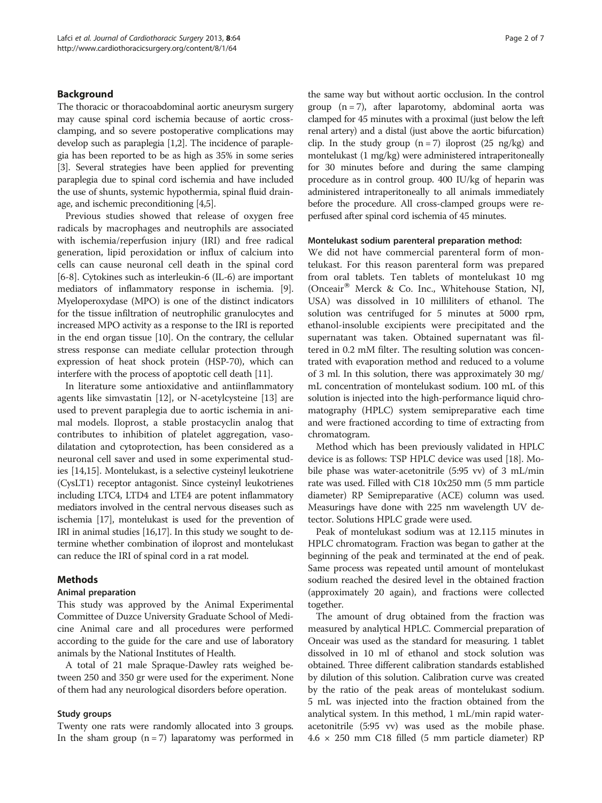# Background

The thoracic or thoracoabdominal aortic aneurysm surgery may cause spinal cord ischemia because of aortic crossclamping, and so severe postoperative complications may develop such as paraplegia [[1,2](#page-6-0)]. The incidence of paraplegia has been reported to be as high as 35% in some series [[3](#page-6-0)]. Several strategies have been applied for preventing paraplegia due to spinal cord ischemia and have included the use of shunts, systemic hypothermia, spinal fluid drainage, and ischemic preconditioning [\[4,5\]](#page-6-0).

Previous studies showed that release of oxygen free radicals by macrophages and neutrophils are associated with ischemia/reperfusion injury (IRI) and free radical generation, lipid peroxidation or influx of calcium into cells can cause neuronal cell death in the spinal cord [[6-8](#page-6-0)]. Cytokines such as interleukin-6 (IL-6) are important mediators of inflammatory response in ischemia. [[9](#page-6-0)]. Myeloperoxydase (MPO) is one of the distinct indicators for the tissue infiltration of neutrophilic granulocytes and increased MPO activity as a response to the IRI is reported in the end organ tissue [\[10](#page-6-0)]. On the contrary, the cellular stress response can mediate cellular protection through expression of heat shock protein (HSP-70), which can interfere with the process of apoptotic cell death [\[11\]](#page-6-0).

In literature some antioxidative and antiinflammatory agents like simvastatin [[12\]](#page-6-0), or N-acetylcysteine [[13](#page-6-0)] are used to prevent paraplegia due to aortic ischemia in animal models. Iloprost, a stable prostacyclin analog that contributes to inhibition of platelet aggregation, vasodilatation and cytoprotection, has been considered as a neuronal cell saver and used in some experimental studies [[14](#page-6-0),[15](#page-6-0)]. Montelukast, is a selective cysteinyl leukotriene (CysLT1) receptor antagonist. Since cysteinyl leukotrienes including LTC4, LTD4 and LTE4 are potent inflammatory mediators involved in the central nervous diseases such as ischemia [\[17\]](#page-6-0), montelukast is used for the prevention of IRI in animal studies [[16,17\]](#page-6-0). In this study we sought to determine whether combination of iloprost and montelukast can reduce the IRI of spinal cord in a rat model.

### Methods

## Animal preparation

This study was approved by the Animal Experimental Committee of Duzce University Graduate School of Medicine Animal care and all procedures were performed according to the guide for the care and use of laboratory animals by the National Institutes of Health.

A total of 21 male Spraque-Dawley rats weighed between 250 and 350 gr were used for the experiment. None of them had any neurological disorders before operation.

#### Study groups

Twenty one rats were randomly allocated into 3 groups. In the sham group  $(n = 7)$  laparatomy was performed in

the same way but without aortic occlusion. In the control group  $(n = 7)$ , after laparotomy, abdominal aorta was clamped for 45 minutes with a proximal (just below the left renal artery) and a distal (just above the aortic bifurcation) clip. In the study group  $(n = 7)$  iloprost  $(25 \text{ ng/kg})$  and montelukast (1 mg/kg) were administered intraperitoneally for 30 minutes before and during the same clamping procedure as in control group. 400 IU/kg of heparin was administered intraperitoneally to all animals immediately before the procedure. All cross-clamped groups were reperfused after spinal cord ischemia of 45 minutes.

#### Montelukast sodium parenteral preparation method:

We did not have commercial parenteral form of montelukast. For this reason parenteral form was prepared from oral tablets. Ten tablets of montelukast 10 mg (Onceair<sup>®</sup> Merck & Co. Inc., Whitehouse Station, NJ, USA) was dissolved in 10 milliliters of ethanol. The solution was centrifuged for 5 minutes at 5000 rpm, ethanol-insoluble excipients were precipitated and the supernatant was taken. Obtained supernatant was filtered in 0.2 mM filter. The resulting solution was concentrated with evaporation method and reduced to a volume of 3 ml. In this solution, there was approximately 30 mg/ mL concentration of montelukast sodium. 100 mL of this solution is injected into the high-performance liquid chromatography (HPLC) system semipreparative each time and were fractioned according to time of extracting from chromatogram.

Method which has been previously validated in HPLC device is as follows: TSP HPLC device was used [\[18\]](#page-6-0). Mobile phase was water-acetonitrile (5:95 vv) of 3 mL/min rate was used. Filled with C18 10x250 mm (5 mm particle diameter) RP Semipreparative (ACE) column was used. Measurings have done with 225 nm wavelength UV detector. Solutions HPLC grade were used.

Peak of montelukast sodium was at 12.115 minutes in HPLC chromatogram. Fraction was began to gather at the beginning of the peak and terminated at the end of peak. Same process was repeated until amount of montelukast sodium reached the desired level in the obtained fraction (approximately 20 again), and fractions were collected together.

The amount of drug obtained from the fraction was measured by analytical HPLC. Commercial preparation of Onceair was used as the standard for measuring. 1 tablet dissolved in 10 ml of ethanol and stock solution was obtained. Three different calibration standards established by dilution of this solution. Calibration curve was created by the ratio of the peak areas of montelukast sodium. 5 mL was injected into the fraction obtained from the analytical system. In this method, 1 mL/min rapid wateracetonitrile (5:95 vv) was used as the mobile phase. 4.6 × 250 mm C18 filled (5 mm particle diameter) RP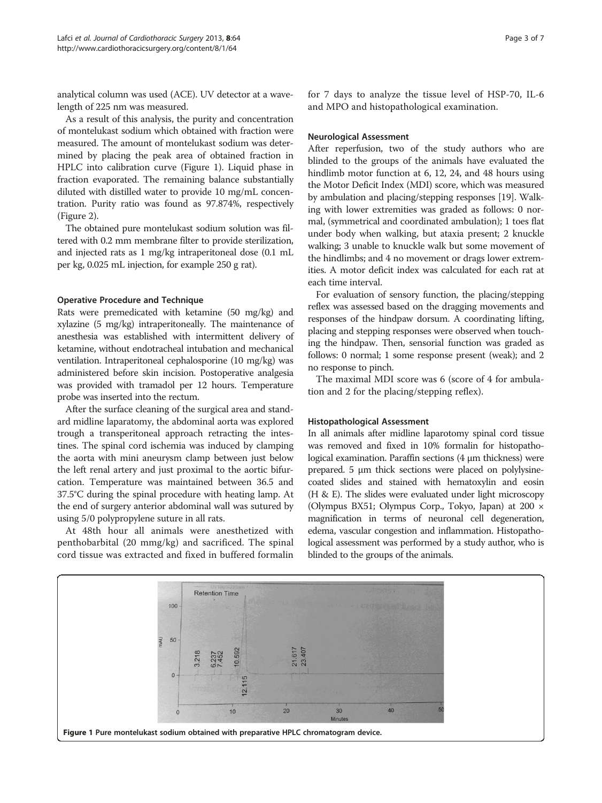analytical column was used (ACE). UV detector at a wavelength of 225 nm was measured.

As a result of this analysis, the purity and concentration of montelukast sodium which obtained with fraction were measured. The amount of montelukast sodium was determined by placing the peak area of obtained fraction in HPLC into calibration curve (Figure 1). Liquid phase in fraction evaporated. The remaining balance substantially diluted with distilled water to provide 10 mg/mL concentration. Purity ratio was found as 97.874%, respectively (Figure [2](#page-3-0)).

The obtained pure montelukast sodium solution was filtered with 0.2 mm membrane filter to provide sterilization, and injected rats as 1 mg/kg intraperitoneal dose (0.1 mL per kg, 0.025 mL injection, for example 250 g rat).

# Operative Procedure and Technique

Rats were premedicated with ketamine (50 mg/kg) and xylazine (5 mg/kg) intraperitoneally. The maintenance of anesthesia was established with intermittent delivery of ketamine, without endotracheal intubation and mechanical ventilation. Intraperitoneal cephalosporine (10 mg/kg) was administered before skin incision. Postoperative analgesia was provided with tramadol per 12 hours. Temperature probe was inserted into the rectum.

After the surface cleaning of the surgical area and standard midline laparatomy, the abdominal aorta was explored trough a transperitoneal approach retracting the intestines. The spinal cord ischemia was induced by clamping the aorta with mini aneurysm clamp between just below the left renal artery and just proximal to the aortic bifurcation. Temperature was maintained between 36.5 and 37.5°C during the spinal procedure with heating lamp. At the end of surgery anterior abdominal wall was sutured by using 5/0 polypropylene suture in all rats.

At 48th hour all animals were anesthetized with penthobarbital (20 mmg/kg) and sacrificed. The spinal cord tissue was extracted and fixed in buffered formalin for 7 days to analyze the tissue level of HSP-70, IL-6 and MPO and histopathological examination.

### Neurological Assessment

After reperfusion, two of the study authors who are blinded to the groups of the animals have evaluated the hindlimb motor function at 6, 12, 24, and 48 hours using the Motor Deficit Index (MDI) score, which was measured by ambulation and placing/stepping responses [\[19\]](#page-6-0). Walking with lower extremities was graded as follows: 0 normal, (symmetrical and coordinated ambulation); 1 toes flat under body when walking, but ataxia present; 2 knuckle walking; 3 unable to knuckle walk but some movement of the hindlimbs; and 4 no movement or drags lower extremities. A motor deficit index was calculated for each rat at each time interval.

For evaluation of sensory function, the placing/stepping reflex was assessed based on the dragging movements and responses of the hindpaw dorsum. A coordinating lifting, placing and stepping responses were observed when touching the hindpaw. Then, sensorial function was graded as follows: 0 normal; 1 some response present (weak); and 2 no response to pinch.

The maximal MDI score was 6 (score of 4 for ambulation and 2 for the placing/stepping reflex).

#### Histopathological Assessment

In all animals after midline laparotomy spinal cord tissue was removed and fixed in 10% formalin for histopathological examination. Paraffin sections (4 μm thickness) were prepared. 5 μm thick sections were placed on polylysinecoated slides and stained with hematoxylin and eosin (H & E). The slides were evaluated under light microscopy (Olympus BX51; Olympus Corp., Tokyo, Japan) at 200 × magnification in terms of neuronal cell degeneration, edema, vascular congestion and inflammation. Histopathological assessment was performed by a study author, who is blinded to the groups of the animals.

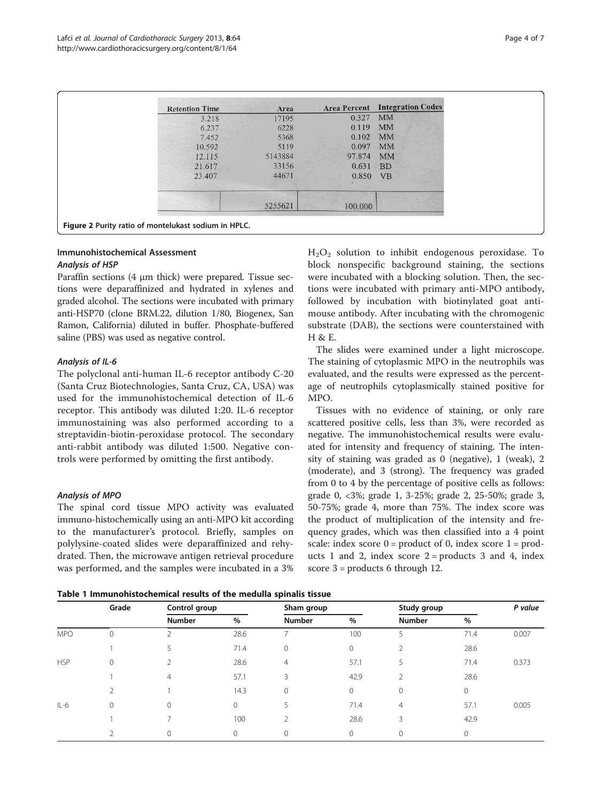<span id="page-3-0"></span>

| <b>Retention Time</b> | Area    |         | <b>Area Percent Integration Codes</b> |
|-----------------------|---------|---------|---------------------------------------|
| 3.218                 | 17195   | 0.327   | <b>MM</b>                             |
| 6.237                 | 6228    | 0.119   | <b>MM</b>                             |
| 7.452                 | 5368    | 0.102   | <b>MM</b>                             |
| 10.592                | 5119    | 0.097   | <b>MM</b>                             |
| 12.115                | 5143884 | 97.874  | <b>MM</b>                             |
| 21.617                | 33156   | 0.631   | <b>BD</b>                             |
| 23.407                | 44671   | 0.850   | <b>VB</b>                             |
|                       | 5255621 | 100.000 |                                       |

# Immunohistochemical Assessment

#### Analysis of HSP

Paraffin sections (4 μm thick) were prepared. Tissue sections were deparaffinized and hydrated in xylenes and graded alcohol. The sections were incubated with primary anti-HSP70 (clone BRM.22, dilution 1/80, Biogenex, San Ramon, California) diluted in buffer. Phosphate-buffered saline (PBS) was used as negative control.

# Analysis of IL-6

The polyclonal anti-human IL-6 receptor antibody C-20 (Santa Cruz Biotechnologies, Santa Cruz, CA, USA) was used for the immunohistochemical detection of IL-6 receptor. This antibody was diluted 1:20. IL-6 receptor immunostaining was also performed according to a streptavidin-biotin-peroxidase protocol. The secondary anti-rabbit antibody was diluted 1:500. Negative controls were performed by omitting the first antibody.

# Analysis of MPO

The spinal cord tissue MPO activity was evaluated immuno-histochemically using an anti-MPO kit according to the manufacturer's protocol. Briefly, samples on polylysine-coated slides were deparaffinized and rehydrated. Then, the microwave antigen retrieval procedure was performed, and the samples were incubated in a 3%  $H<sub>2</sub>O<sub>2</sub>$  solution to inhibit endogenous peroxidase. To block nonspecific background staining, the sections were incubated with a blocking solution. Then, the sections were incubated with primary anti-MPO antibody, followed by incubation with biotinylated goat antimouse antibody. After incubating with the chromogenic substrate (DAB), the sections were counterstained with H & E.

The slides were examined under a light microscope. The staining of cytoplasmic MPO in the neutrophils was evaluated, and the results were expressed as the percentage of neutrophils cytoplasmically stained positive for MPO.

Tissues with no evidence of staining, or only rare scattered positive cells, less than 3%, were recorded as negative. The immunohistochemical results were evaluated for intensity and frequency of staining. The intensity of staining was graded as 0 (negative), 1 (weak), 2 (moderate), and 3 (strong). The frequency was graded from 0 to 4 by the percentage of positive cells as follows: grade 0, <3%; grade 1, 3-25%; grade 2, 25-50%; grade 3, 50-75%; grade 4, more than 75%. The index score was the product of multiplication of the intensity and frequency grades, which was then classified into a 4 point scale: index score  $0 =$  product of 0, index score  $1 =$  products 1 and 2, index score  $2 =$  products 3 and 4, index score 3 = products 6 through 12.

Table 1 Immunohistochemical results of the medulla spinalis tissue

|            | Grade | Control group |              | Sham group     |         | Study group    |              | P value |
|------------|-------|---------------|--------------|----------------|---------|----------------|--------------|---------|
|            |       | <b>Number</b> | %            | <b>Number</b>  | $\%$    | <b>Number</b>  | %            |         |
| <b>MPO</b> | 0     |               | 28.6         |                | 100     | 5              | 71.4         | 0.007   |
|            |       | 5             | 71.4         | $\mathbf{0}$   | $\circ$ |                | 28.6         |         |
| <b>HSP</b> | 0     | C.            | 28.6         | $\overline{4}$ | 57.1    | 5              | 71.4         | 0.373   |
|            |       | 4             | 57.1         | 3              | 42.9    | 2              | 28.6         |         |
|            | 2     |               | 14.3         | $\mathbf{0}$   | $\circ$ | $\Omega$       | $\mathbf{0}$ |         |
| $IL-6$     | 0     | $\Omega$      | $\mathbf{0}$ | 5              | 71.4    | $\overline{4}$ | 57.1         | 0.005   |
|            |       |               | 100          | $\mathcal{P}$  | 28.6    | 3              | 42.9         |         |
|            |       | $\Omega$      | $\Omega$     | $\mathbf{0}$   | $\circ$ | $\Omega$       | $\Omega$     |         |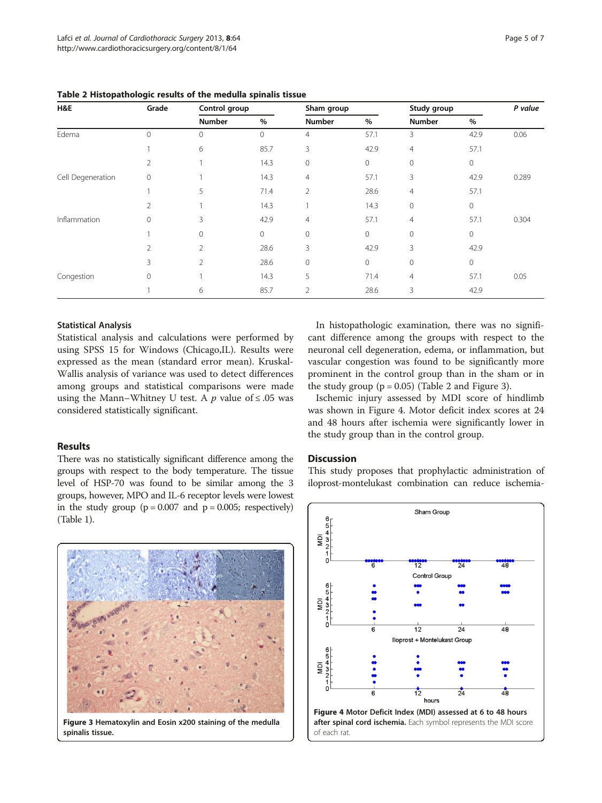| H&E               | Grade          | Control group  |              | Sham group     |      | Study group    |      | P value |
|-------------------|----------------|----------------|--------------|----------------|------|----------------|------|---------|
|                   |                | Number         | $\%$         | <b>Number</b>  | $\%$ | <b>Number</b>  | $\%$ |         |
| Edema             | $\mathbf 0$    | $\mathbf 0$    | $\mathbf 0$  | $\overline{4}$ | 57.1 | 3              | 42.9 | 0.06    |
|                   |                | 6              | 85.7         | 3              | 42.9 | $\overline{4}$ | 57.1 |         |
|                   | 2              |                | 14.3         | $\mathbf 0$    | 0    | $\mathbf 0$    | 0    |         |
| Cell Degeneration | $\mathbf 0$    |                | 14.3         | $\overline{4}$ | 57.1 | 3              | 42.9 | 0.289   |
|                   |                | 5              | 71.4         | $\overline{2}$ | 28.6 | $\overline{4}$ | 57.1 |         |
|                   | 2              |                | 14.3         |                | 14.3 | $\mathbf 0$    | 0    |         |
| Inflammation      | $\mathbf 0$    | 3              | 42.9         | $\overline{4}$ | 57.1 | 4              | 57.1 | 0.304   |
|                   |                | $\mathbf 0$    | $\mathbf{0}$ | $\mathbf 0$    | 0    | $\mathbf{0}$   | 0    |         |
|                   | $\overline{2}$ | $\overline{2}$ | 28.6         | 3              | 42.9 | 3              | 42.9 |         |
|                   | 3              | $\overline{2}$ | 28.6         | $\mathbf 0$    | 0    | $\mathbf 0$    | 0    |         |
| Congestion        | $\mathbf 0$    |                | 14.3         | 5              | 71.4 | $\overline{4}$ | 57.1 | 0.05    |
|                   |                | 6              | 85.7         | $\overline{2}$ | 28.6 | 3              | 42.9 |         |

#### Statistical Analysis

Statistical analysis and calculations were performed by using SPSS 15 for Windows (Chicago,IL). Results were expressed as the mean (standard error mean). Kruskal-Wallis analysis of variance was used to detect differences among groups and statistical comparisons were made using the Mann–Whitney U test. A  $p$  value of  $\leq$  05 was considered statistically significant.

## Results

There was no statistically significant difference among the groups with respect to the body temperature. The tissue level of HSP-70 was found to be similar among the 3 groups, however, MPO and IL-6 receptor levels were lowest in the study group  $(p = 0.007$  and  $p = 0.005$ ; respectively) (Table [1](#page-3-0)).

Figure 3 Hematoxylin and Eosin x200 staining of the medulla spinalis tissue.

In histopathologic examination, there was no significant difference among the groups with respect to the neuronal cell degeneration, edema, or inflammation, but vascular congestion was found to be significantly more prominent in the control group than in the sham or in the study group  $(p = 0.05)$  (Table 2 and Figure 3).

Ischemic injury assessed by MDI score of hindlimb was shown in Figure 4. Motor deficit index scores at 24 and 48 hours after ischemia were significantly lower in the study group than in the control group.

## **Discussion**

This study proposes that prophylactic administration of iloprost-montelukast combination can reduce ischemia-

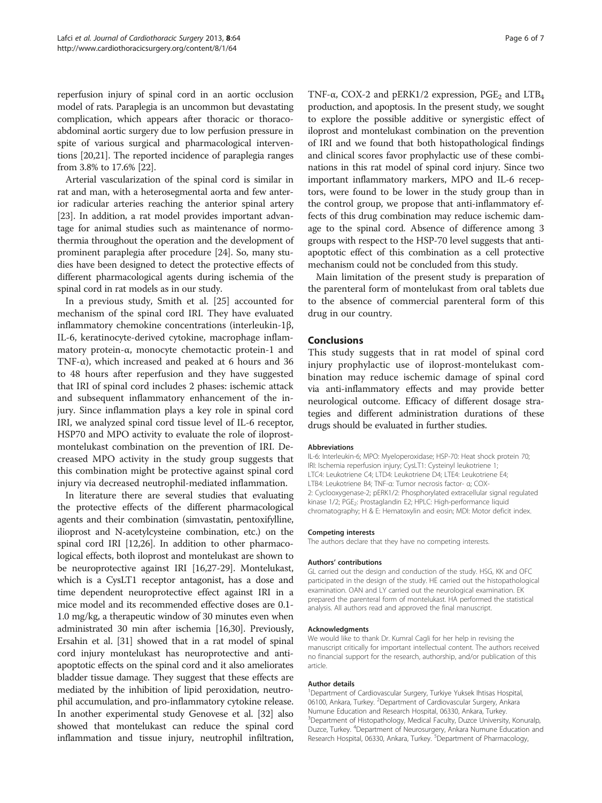reperfusion injury of spinal cord in an aortic occlusion model of rats. Paraplegia is an uncommon but devastating complication, which appears after thoracic or thoracoabdominal aortic surgery due to low perfusion pressure in spite of various surgical and pharmacological interventions [[20,21\]](#page-6-0). The reported incidence of paraplegia ranges from 3.8% to 17.6% [[22](#page-6-0)].

Arterial vascularization of the spinal cord is similar in rat and man, with a heterosegmental aorta and few anterior radicular arteries reaching the anterior spinal artery [[23](#page-6-0)]. In addition, a rat model provides important advantage for animal studies such as maintenance of normothermia throughout the operation and the development of prominent paraplegia after procedure [[24](#page-6-0)]. So, many studies have been designed to detect the protective effects of different pharmacological agents during ischemia of the spinal cord in rat models as in our study.

In a previous study, Smith et al. [\[25](#page-6-0)] accounted for mechanism of the spinal cord IRI. They have evaluated inflammatory chemokine concentrations (interleukin-1β, IL-6, keratinocyte-derived cytokine, macrophage inflammatory protein-α, monocyte chemotactic protein-1 and TNF- $\alpha$ ), which increased and peaked at 6 hours and 36 to 48 hours after reperfusion and they have suggested that IRI of spinal cord includes 2 phases: ischemic attack and subsequent inflammatory enhancement of the injury. Since inflammation plays a key role in spinal cord IRI, we analyzed spinal cord tissue level of IL-6 receptor, HSP70 and MPO activity to evaluate the role of iloprostmontelukast combination on the prevention of IRI. Decreased MPO activity in the study group suggests that this combination might be protective against spinal cord injury via decreased neutrophil-mediated inflammation.

In literature there are several studies that evaluating the protective effects of the different pharmacological agents and their combination (simvastatin, pentoxifylline, ilioprost and N-acetylcysteine combination, etc.) on the spinal cord IRI [\[12,26](#page-6-0)]. In addition to other pharmacological effects, both iloprost and montelukast are shown to be neuroprotective against IRI [\[16,27-29\]](#page-6-0). Montelukast, which is a CysLT1 receptor antagonist, has a dose and time dependent neuroprotective effect against IRI in a mice model and its recommended effective doses are 0.1- 1.0 mg/kg, a therapeutic window of 30 minutes even when administrated 30 min after ischemia [\[16,30\]](#page-6-0). Previously, Ersahin et al. [[31](#page-6-0)] showed that in a rat model of spinal cord injury montelukast has neuroprotective and antiapoptotic effects on the spinal cord and it also ameliorates bladder tissue damage. They suggest that these effects are mediated by the inhibition of lipid peroxidation, neutrophil accumulation, and pro-inflammatory cytokine release. In another experimental study Genovese et al. [[32\]](#page-6-0) also showed that montelukast can reduce the spinal cord inflammation and tissue injury, neutrophil infiltration, TNF- $\alpha$ , COX-2 and pERK1/2 expression, PGE<sub>2</sub> and LTB<sub>4</sub> production, and apoptosis. In the present study, we sought to explore the possible additive or synergistic effect of iloprost and montelukast combination on the prevention of IRI and we found that both histopathological findings and clinical scores favor prophylactic use of these combinations in this rat model of spinal cord injury. Since two important inflammatory markers, MPO and IL-6 receptors, were found to be lower in the study group than in the control group, we propose that anti-inflammatory effects of this drug combination may reduce ischemic damage to the spinal cord. Absence of difference among 3 groups with respect to the HSP-70 level suggests that antiapoptotic effect of this combination as a cell protective mechanism could not be concluded from this study.

Main limitation of the present study is preparation of the parenteral form of montelukast from oral tablets due to the absence of commercial parenteral form of this drug in our country.

#### Conclusions

This study suggests that in rat model of spinal cord injury prophylactic use of iloprost-montelukast combination may reduce ischemic damage of spinal cord via anti-inflammatory effects and may provide better neurological outcome. Efficacy of different dosage strategies and different administration durations of these drugs should be evaluated in further studies.

#### Abbreviations

IL-6: Interleukin-6; MPO: Myeloperoxidase; HSP-70: Heat shock protein 70; IRI: Ischemia reperfusion injury; CysLT1: Cysteinyl leukotriene 1; LTC4: Leukotriene C4; LTD4: Leukotriene D4; LTE4: Leukotriene E4; LTB4: Leukotriene B4; TNF-α: Tumor necrosis factor- α; COX-2: Cyclooxygenase-2; pERK1/2: Phosphorylated extracellular signal regulated kinase 1/2; PGE<sub>2</sub>: Prostaglandin E2; HPLC: High-performance liquid chromatography; H & E: Hematoxylin and eosin; MDI: Motor deficit index.

#### Competing interests

The authors declare that they have no competing interests.

#### Authors' contributions

GL carried out the design and conduction of the study. HSG, KK and OFC participated in the design of the study. HE carried out the histopathological examination. OAN and LY carried out the neurological examination. EK prepared the parenteral form of montelukast. HA performed the statistical analysis. All authors read and approved the final manuscript.

#### Acknowledgments

We would like to thank Dr. Kumral Cagli for her help in revising the manuscript critically for important intellectual content. The authors received no financial support for the research, authorship, and/or publication of this article.

#### Author details

<sup>1</sup>Department of Cardiovascular Surgery, Turkiye Yuksek Ihtisas Hospital 06100, Ankara, Turkey. <sup>2</sup>Department of Cardiovascular Surgery, Ankara Numune Education and Research Hospital, 06330, Ankara, Turkey. <sup>3</sup>Department of Histopathology, Medical Faculty, Duzce University, Konuralp Duzce, Turkey. <sup>4</sup> Department of Neurosurgery, Ankara Numune Education and Research Hospital, 06330, Ankara, Turkey. <sup>5</sup>Department of Pharmacology,